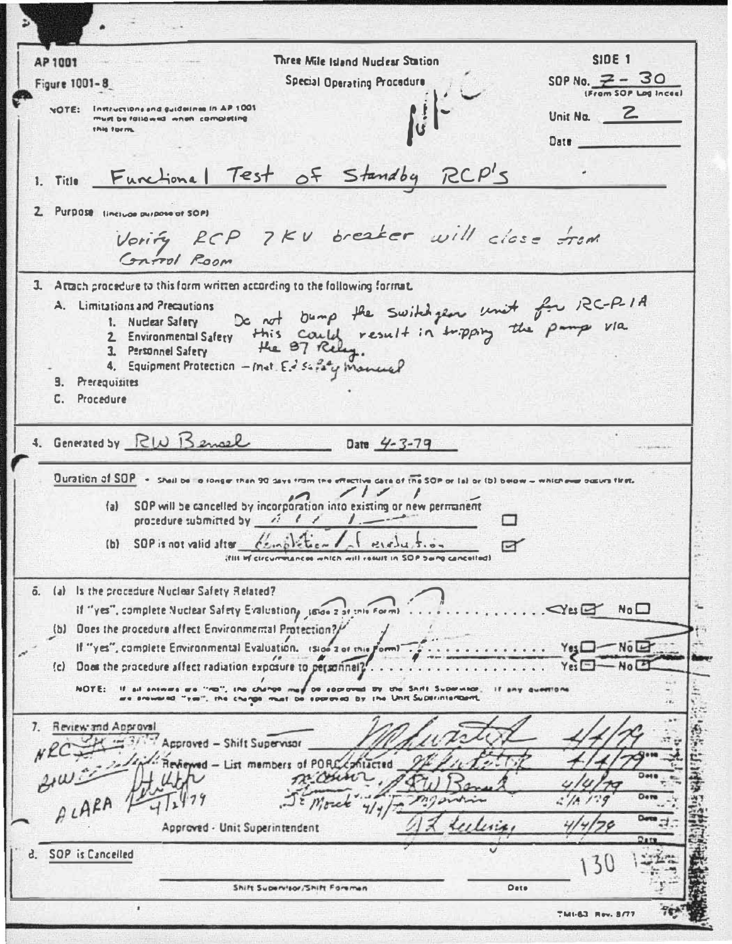**SIDE 1** Three Mile Island Nuclear Station AP 1001 SOP No.  $7 - 30$ **Special Operating Procedure** Figure 1001-8 (From SOP Log Inces) **Instructions and guidelines in AP 1001 NOTE:** Unit No. **2** must be fallowed when completing this torm. Date 1. Title Functional Test of Standby RCP'S 2. Purpose tinesuae purpose of SOP) Vorify RCP 7KV breaker will close from Control Room 3. Attach procedure to this form written according to the following format. De not bump the switch year unit for RC-RIA<br>this could result in tripping the pamp via A. Limitations and Precautions 1. Nuclear Safety 2 Environmental Safery 3. Personnel Safety 4. Equipment Protection - met. Ed safaty manual 9. Prerequisites C. Procedure 4. Generated by RIN Bensel Date  $4 - 3 - 79$ Ouration of SOP - Shell be lo longer than 90 days from the  $\sin \alpha t$  the SOP or (a) or (b) below  $-\pi$  which  $\alpha$ (a) SQP will be cancelled by incorporation into existing or new permanent procedure submitted by and the design (b) SOP is not valid after condition  $P(x)$ ☞ ifflit inf circummances which will result in SOP being cancelled) 6. (a) Is the procedure Nuclear Safety Related? If "yes", complete Nuclear Safety Evaluation, Jose 2 at this Form)  $\sim$ Yes $\boxdot$  No $\Box$ (b) Does the procedure affect Environmental Protection?/ If "yes", complete Environmental Evaluation, isid- $-N<sub>0</sub>$  $Yes \Box -$ **Zot this Fort** (c) Does the procedure affect radiation exposure to personnel? NOTE: If all seconds are "Hol", the change may be socronad by the Seith Supervisor, if any que<br>are snoward "yes", the change must be socroyed by the Unit Superintentent, 7. Review and Approval Approved - Shift Supervisor Reviewed - List members of PORCE ALARA 1 Morek Approved - Unit Superintendent d. SOP is Cancelled  $30$ Shift Supervisor/Shift Foremen Date THURSDAY BALL BUTT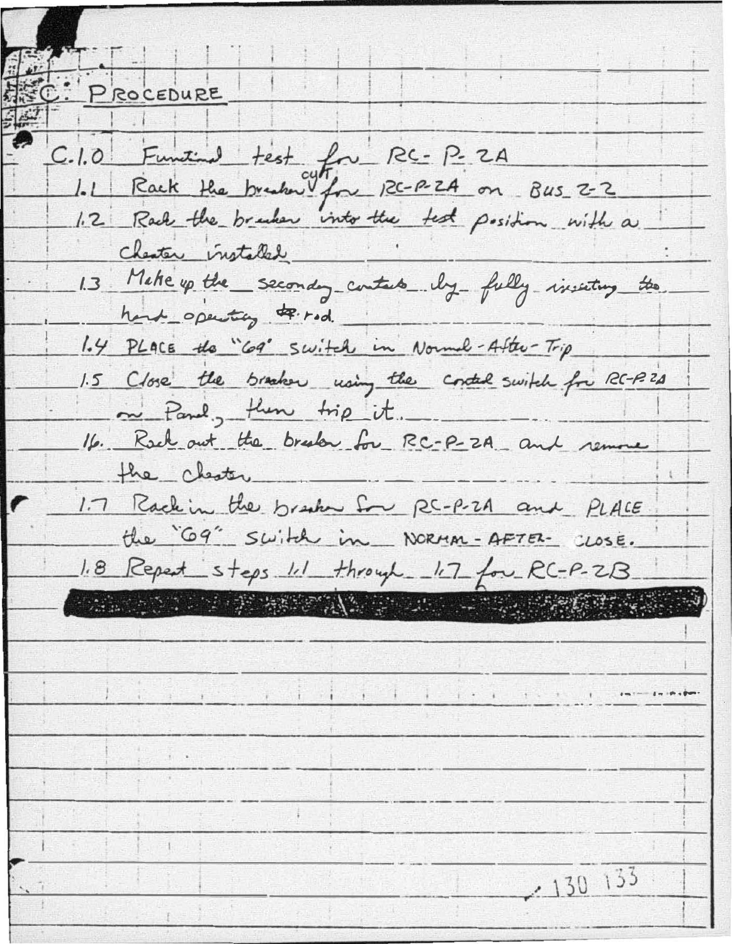PROCEDURE C.1.0 Function test for RC-P-2A 1.2 Rack the bracker into the test position with a Chester installed. 1.3 Make up the seconday contacts by fully inserting the hard operating of red. 1.4 PLACE the "69" Switch in Normal-After-Trip 1.5 Close the bracker using the control switch for RC-RZA m Panel, then trip it. 16. Rock out the brook for RC-P-2A and remove the chester 1.7 Rack in the brasher for RC-P-2A and PLACE the "G9" Switch in NORMAN-AFTER- CLOSE. 1.8 Repeat steps 1.1 through - 1.7 for RC-P-ZB. TARABA PER PERSONAL BRADE  $-130$  133